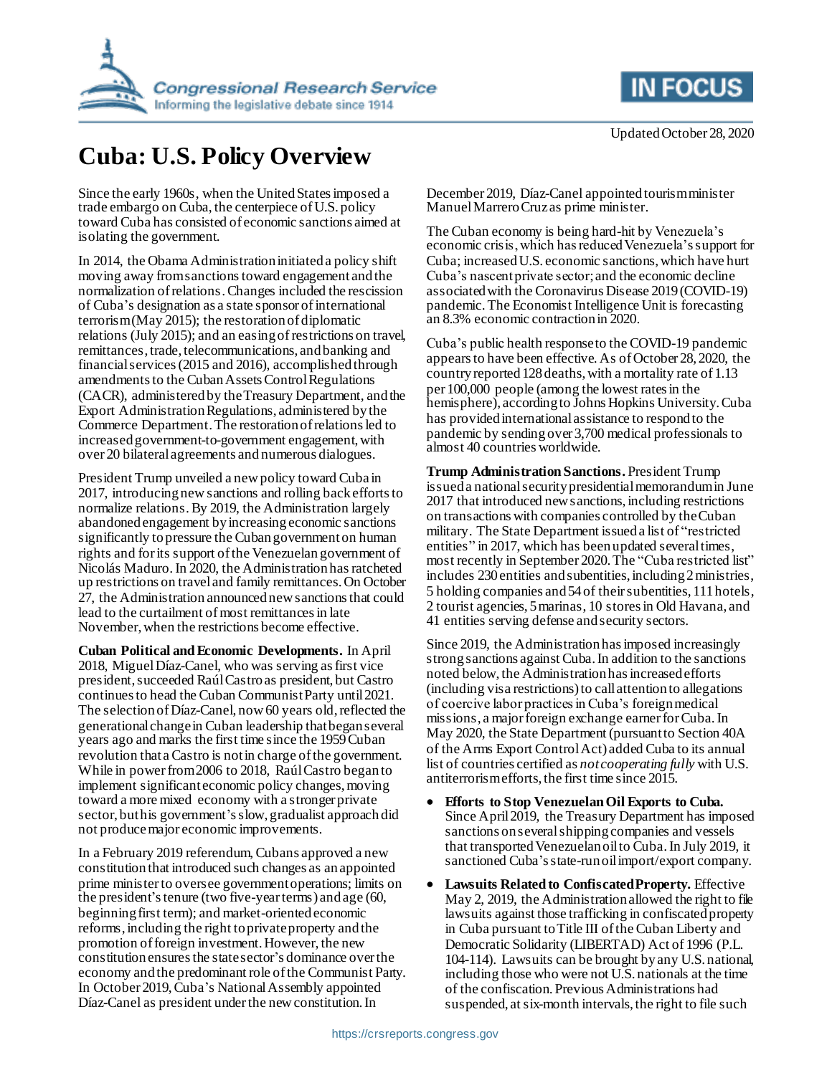

## **Cuba: U.S. Policy Overview**

Since the early 1960s, when the United Statesimposed a trade embargo on Cuba, the centerpiece of U.S. policy toward Cuba has consisted of economic sanctions aimed at isolating the government.

In 2014, the Obama Administration initiated a policy shift moving away from sanctions toward engagement and the normalization of relations.Changes included the rescission of Cuba's designation as a state sponsor of international terrorism (May 2015); the restoration of diplomatic relations (July 2015); and an easing of restrictions on travel, remittances, trade, telecommunications, and banking and financial services (2015 and 2016), accomplished through amendments to the Cuban Assets Control Regulations (CACR), administered by the Treasury Department, and the Export Administration Regulations, administered by the Commerce Department.The restoration of relations led to increased government-to-government engagement, with over 20 bilateral agreements and numerous dialogues.

President Trump unveiled a new policy toward Cuba in 2017, introducing newsanctions and rolling back efforts to normalize relations. By 2019, the Administration largely abandoned engagement by increasing economic sanctions significantly to pressure the Cuban government on human rights and for its support of the Venezuelan government of Nicolás Maduro.In 2020, the Administration has ratcheted up restrictions on travel and family remittances. On October 27, the Administration announced new sanctions that could lead to the curtailment of most remittances in late November,when the restrictions become effective.

**Cuban Political and Economic Developments.** In April 2018, Miguel Díaz-Canel, who was serving as first vice president, succeeded Raúl Castroas president, but Castro continues to head the Cuban Communist Party until 2021. The selectionof Díaz-Canel, now 60 years old, reflected the generational change in Cuban leadership that began several years ago and marks the first time since the 1959 Cuban revolution that a Castro is not in charge of the government. While in power from 2006 to 2018, Raúl Castro began to implement significant economic policy changes, moving toward a more mixed economy with a stronger private sector, but his government'sslow, gradualist approach did not produce major economic improvements.

In a February 2019 referendum, Cubans approved a new constitution that introduced such changes as an appointed prime minister to oversee government operations; limits on the president's tenure (two five-year terms) and age (60, beginning first term); and market-oriented economic reforms, including the right to private property and the promotion of foreign investment. However, the new constitution ensures the state sector's dominance over the economy and the predominant role of the Communist Party. In October 2019, Cuba's National Assembly appointed Díaz-Canel as president under the new constitution. In

**IN FOCUS** 

December 2019, Díaz-Canel appointed tourism minister Manuel Marrero Cruz as prime minister.

The Cuban economy is being hard-hit by Venezuela's economic crisis, which has reduced Venezuela's support for Cuba; increasedU.S. economic sanctions, which have hurt Cuba's nascent private sector;and the economic decline associated with the Coronavirus Disease 2019 (COVID-19) pandemic. The Economist Intelligence Unit is forecasting an 8.3% economic contraction in 2020.

Cuba's public health response to the COVID-19 pandemic appears to have been effective. As of October 28, 2020, the country reported 128deaths, with a mortality rate of 1.13 per 100,000 people (among the lowest rates in the hemisphere), according to Johns Hopkins University. Cuba has providedinternational assistance to respond to the pandemic by sending over 3,700 medical professionals to almost 40 countries worldwide.

**Trump Administration Sanctions.** President Trump issued a national security presidential memorandumin June 2017 that introduced new sanctions, including restrictions on transactions with companies controlled by the Cuban military. The State Department issued a list of "restricted entities" in 2017, which has been updated several times, most recently in September 2020. The "Cuba restricted list" includes 230entities and subentities, including 2 ministries, 5 holding companies and 54of theirsubentities, 111hotels, 2 tourist agencies, 5 marinas, 10 stores in Old Havana, and 41 entities serving defense and security sectors.

Since 2019, the Administration hasimposed increasingly strong sanctions against Cuba. In addition to the sanctions noted below, the Administration has increased efforts (including visa restrictions) to call attention to allegations of coercive labor practices in Cuba's foreign medical missions, a major foreign exchange earner for Cuba. In May 2020, the State Department (pursuant to Section 40A) of the Arms Export Control Act) added Cuba to its annual list of countries certified as *not cooperating fully* with U.S. antiterrorism efforts, the first time since 2015.

- **Efforts to Stop Venezuelan Oil Exports to Cuba.** Since April 2019, the Treasury Department has imposed sanctions on several shipping companies and vessels that transported Venezuelan oil to Cuba. In July 2019, it sanctioned Cuba's state-runoil import/export company.
- **Lawsuits Related to Confiscated Property.** Effective May 2, 2019, the Administration allowed the right to file lawsuits against those trafficking in confiscated property in Cuba pursuant to Title III of the Cuban Liberty and Democratic Solidarity (LIBERTAD) Act of 1996 (P.L. 104-114). Lawsuits can be brought by any U.S. national, including those who were not U.S. nationals at the time of the confiscation. Previous Administrations had suspended, at six-month intervals, the right to file such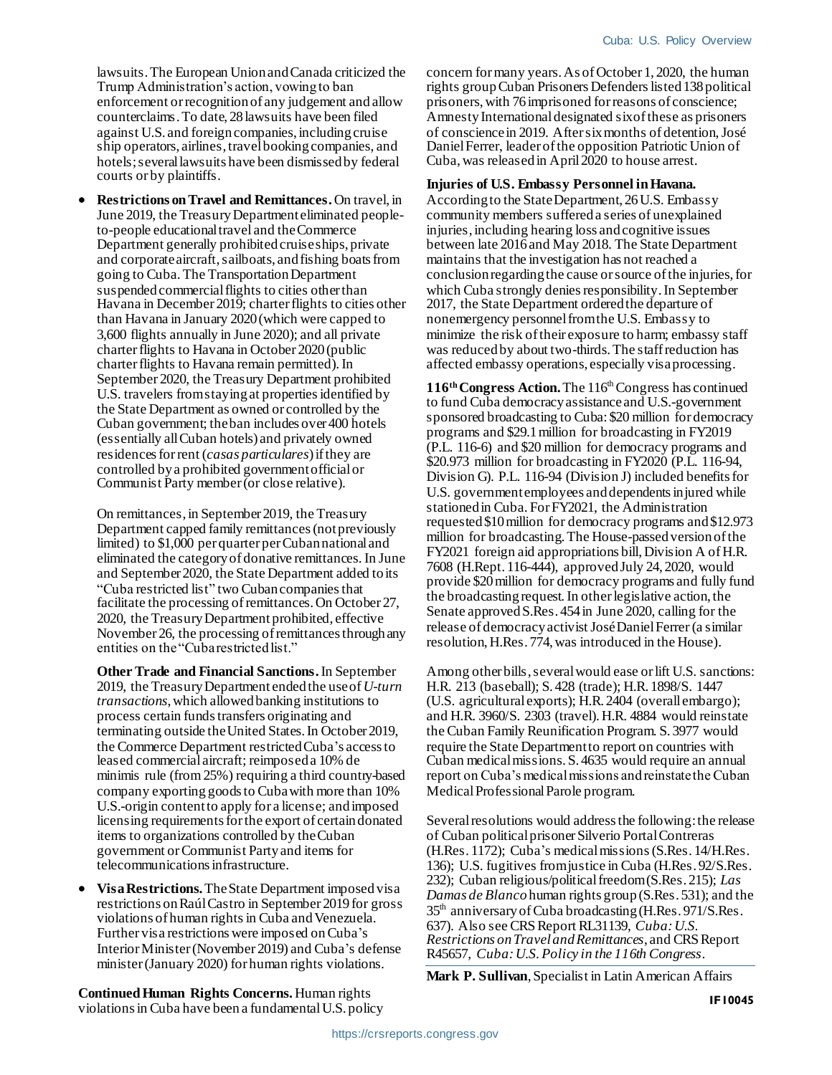lawsuits. The European Union and Canada criticized the Trump Administration's action, vowing to ban enforcement or recognition of any judgement and allow counterclaims.To date, 28lawsuits have been filed against U.S. and foreign companies, including cruise ship operators, airlines, travel booking companies, and hotels; several lawsuits have been dismissed by federal courts or by plaintiffs.

 **Restrictions on Travel and Remittances.**On travel, in June 2019, the Treasury Department eliminated peopleto-people educational travel and the Commerce Department generally prohibited cruise ships, private and corporate aircraft, sailboats, and fishing boats from going to Cuba. The Transportation Department suspended commercial flights to cities other than Havana in December 2019; charter flights to cities other than Havana in January 2020 (which were capped to 3,600 flights annually in June 2020); and all private charter flights to Havana in October 2020 (public charter flights to Havana remain permitted). In September 2020, the Treasury Department prohibited U.S. travelers fromstaying at properties identified by the State Department as owned or controlled by the Cuban government; the ban includes over 400 hotels (essentially all Cuban hotels) and privately owned residences for rent (*casas particulares*) if they are controlled by a prohibited government official or Communist Party member (or close relative).

On remittances, in September 2019, the Treasury Department capped family remittances (not previously limited) to \$1,000 per quarter per Cuban national and eliminated the category of donative remittances. In June and September 2020, the State Department added to its "Cuba restricted list" two Cuban companies that facilitate the processing of remittances. On October 27, 2020, the Treasury Department prohibited, effective November 26, the processing of remittances through any entities on the "Cuba restricted list."

**Other Trade and Financial Sanctions.** In September 2019, the Treasury Department endedthe use of *U-turn transactions*,which allowed banking institutions to process certain funds transfers originating and terminating outside the United States. In October 2019, the Commerce Department restricted Cuba's access to leased commercial aircraft; reimposeda 10% de minimis rule (from 25%) requiring a third country-based company exporting goods to Cuba with more than 10% U.S.-origin content to apply for a license; and imposed licensing requirements for the export of certain donated items to organizations controlled by the Cuban government or Communist Party and items for telecommunications infrastructure.

 **Visa Restrictions.**The State Department imposed visa restrictions on Raúl Castro in September 2019 for gross violations of human rights in Cuba and Venezuela. Further visa restrictions were imposed on Cuba's Interior Minister (November 2019) and Cuba's defense minister (January 2020) for human rights violations.

concern for many years.As of October 1, 2020, the human rights group Cuban Prisoners Defenders listed 138 political prisoners, with 76imprisoned for reasons of conscience; Amnesty International designated six of these as prisoners of consciencein 2019. After six months of detention, José Daniel Ferrer, leader of the opposition Patriotic Union of Cuba,was released in April 2020 to house arrest.

## **Injuries of U.S. Embassy Personnel in Havana.**

According to the State Department, 26U.S. Embassy community members suffered a series of unexplained injuries, including hearing loss and cognitive issues between late 2016 and May 2018. The State Department maintains that the investigation has not reached a conclusion regarding the cause or source of the injuries, for which Cuba strongly denies responsibility. In September 2017, the State Department ordered the departure of nonemergency personnel from the U.S. Embassy to minimize the risk of their exposure to harm; embassy staff was reduced by about two-thirds. The staff reduction has affected embassy operations, especially visa processing.

116<sup>th</sup> Congress Action. The 116<sup>th</sup> Congress has continued to fund Cuba democracy assistanceand U.S.-government sponsored broadcasting to Cuba: \$20 million for democracy programs and \$29.1 million for broadcasting in FY2019 (P.L. 116-6) and \$20 million for democracy programs and \$20.973 million for broadcasting in FY2020 (P.L. 116-94, Division G). P.L. 116-94 (Division J) included benefits for U.S. government employees and dependents injured while stationed in Cuba. For FY2021, the Administration requested \$10 million for democracy programs and \$12.973 million for broadcasting. The House-passed version of the FY2021 foreign aid appropriations bill, Division A of H.R. 7608 (H.Rept. 116-444), approved July 24, 2020, would provide \$20 million for democracy programs and fully fund the broadcasting request. In other legislative action, the Senate approved S.Res. 454 in June 2020, calling for the release of democracy activist José Daniel Ferrer(a similar resolution, H.Res. 774, was introduced in the House).

Among other bills, several would ease or lift U.S. sanctions: H.R. 213 (baseball); S. 428 (trade); H.R. 1898/S. 1447 (U.S. agricultural exports); H.R. 2404 (overall embargo); and H.R. 3960/S. 2303 (travel). H.R. 4884 would reinstate the Cuban Family Reunification Program. S. 3977 would require the State Department to report on countries with Cuban medical missions. S. 4635 would require an annual report on Cuba's medical missions and reinstate the Cuban Medical Professional Parole program.

Several resolutions would address the following: the release of Cuban political prisoner Silverio Portal Contreras (H.Res. 1172); Cuba's medical missions(S.Res. 14/H.Res. 136); U.S. fugitives from justice in Cuba (H.Res. 92/S.Res. 232); Cuban religious/political freedom (S.Res. 215); *Las Damas de Blanco* human rights group (S.Res. 531); and the  $35<sup>th</sup>$  anniversary of Cuba broadcasting (H.Res. 971/S.Res. 637). Also see CRS Report RL31139, *Cuba: U.S. Restrictions on Travel and Remittances*, and CRS Report R45657, *Cuba: U.S. Policy in the 116th Congress*.

**Mark P. Sullivan**, Specialist in Latin American Affairs

**Continued Human Rights Concerns.** Human rights violations in Cuba have been a fundamental U.S. policy